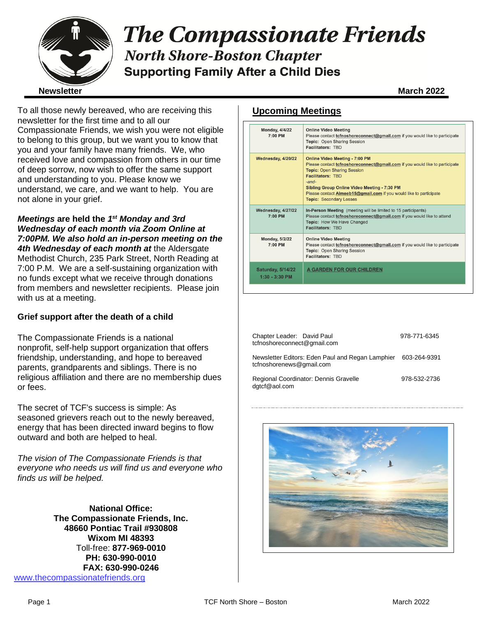

# **The Compassionate Friends North Shore-Boston Chapter Supporting Family After a Child Dies**

To all those newly bereaved, who are receiving this newsletter for the first time and to all our Compassionate Friends, we wish you were not eligible to belong to this group, but we want you to know that you and your family have many friends. We, who received love and compassion from others in our time of deep sorrow, now wish to offer the same support and understanding to you. Please know we understand, we care, and we want to help. You are not alone in your grief.

*Meetings* **are held the** *1 st Monday and 3rd Wednesday of each month via Zoom Online at 7:00PM. We also hold an in-person meeting on the 4th Wednesday of each month at* the Aldersgate Methodist Church, 235 Park Street, North Reading at 7:00 P.M. We are a self-sustaining organization with no funds except what we receive through donations from members and newsletter recipients. Please join with us at a meeting.

## **Grief support after the death of a child**

The Compassionate Friends is a national nonprofit, self-help support organization that offers friendship, understanding, and hope to bereaved parents, grandparents and siblings. There is no religious affiliation and there are no membership dues or fees.

The secret of TCF's success is simple: As seasoned grievers reach out to the newly bereaved, energy that has been directed inward begins to flow outward and both are helped to heal.

*The vision of The Compassionate Friends is that everyone who needs us will find us and everyone who finds us will be helped.*

**National Office: The Compassionate Friends, Inc. 48660 Pontiac Trail #930808 Wixom MI 48393** Toll-free: **877-969-0010 PH: 630-990-0010 FAX: 630-990-0246** [www.thecompassionatefriends.org](http://www.thecompassionatefriends.org/)

## **Upcoming Meetings**

| <b>Monday, 4/4/22</b><br>7:00 PM             | <b>Online Video Meeting</b><br>Please contact tcfnoshoreconnect@gmail.com if you would like to participate<br><b>Topic: Open Sharing Session</b><br><b>Facilitators: TBD</b>                                                                                                                                                                                         |
|----------------------------------------------|----------------------------------------------------------------------------------------------------------------------------------------------------------------------------------------------------------------------------------------------------------------------------------------------------------------------------------------------------------------------|
| Wednesday, 4/20/22                           | <b>Online Video Meeting - 7:00 PM</b><br>Please contact tcfnoshoreconnect@gmail.com if you would like to participate<br><b>Topic: Open Sharing Session</b><br><b>Facilitators: TBD</b><br>$-$ and $-$<br><b>Sibling Group Online Video Meeting - 7:30 PM</b><br>Please contact Aimeeb15@gmail.com if you would like to participate<br><b>Topic: Secondary Losses</b> |
| Wednesday, 4/27/22<br>7:00 PM                | In-Person Meeting (meeting will be limited to 15 participants)<br>Please contact tcfnoshoreconnect@gmail.com if you would like to attend<br>Topic: How We Have Changed<br><b>Facilitators: TRD</b>                                                                                                                                                                   |
| <b>Monday, 5/2/22</b><br>$7:00$ PM           | <b>Online Video Meeting</b><br>Please contact tcfnoshoreconnect@gmail.com if you would like to participate<br>Topic: Open Sharing Session<br>Facilitators: TBD                                                                                                                                                                                                       |
| <b>Saturday, 5/14/22</b><br>$1:30 - 3:30$ PM | A GARDEN FOR OUR CHILDREN                                                                                                                                                                                                                                                                                                                                            |

| Chapter Leader: David Paul<br>tcfnoshoreconnect@gmail.com                                 | 978-771-6345 |
|-------------------------------------------------------------------------------------------|--------------|
| Newsletter Editors: Eden Paul and Regan Lamphier 603-264-9391<br>tcfnoshorenews@gmail.com |              |
| Regional Coordinator: Dennis Gravelle<br>dgtcf@aol.com                                    | 978-532-2736 |

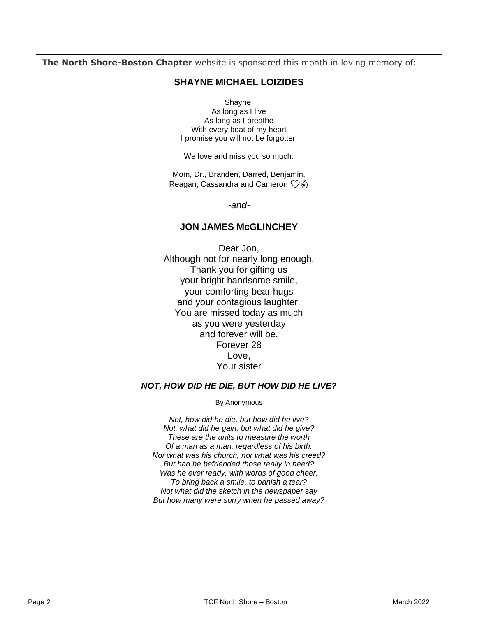**The North Shore-Boston Chapter** website is sponsored this month in loving memory of:

## **SHAYNE MICHAEL LOIZIDES**

Shayne, As long as I live As long as I breathe With every beat of my heart I promise you will not be forgotten

We love and miss you so much.

Mom, Dr., Branden, Darred, Benjamin, Reagan, Cassandra and Cameron  $\heartsuit\hat{\mathfrak{g}}$ 

*-and-*

## **JON JAMES McGLINCHEY**

Dear Jon, Although not for nearly long enough, Thank you for gifting us your bright handsome smile, your comforting bear hugs and your contagious laughter. You are missed today as much as you were yesterday and forever will be. Forever 28 Love, Your sister

### *NOT, HOW DID HE DIE, BUT HOW DID HE LIVE?*

By Anonymous

*Not, how did he die, but how did he live? Not, what did he gain, but what did he give? These are the units to measure the worth Of a man as a man, regardless of his birth. Nor what was his church, nor what was his creed? But had he befriended those really in need? Was he ever ready, with words of good cheer, To bring back a smile, to banish a tear? Not what did the sketch in the newspaper say But how many were sorry when he passed away?*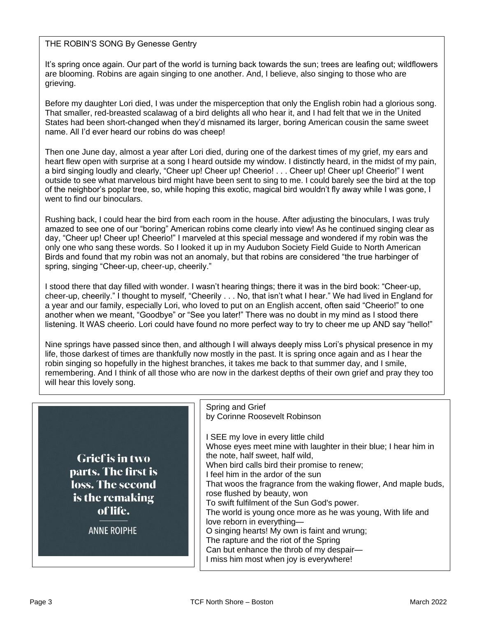## THE ROBIN'S SONG By Genesse Gentry

It's spring once again. Our part of the world is turning back towards the sun; trees are leafing out; wildflowers are blooming. Robins are again singing to one another. And, I believe, also singing to those who are grieving.

Before my daughter Lori died, I was under the misperception that only the English robin had a glorious song. That smaller, red-breasted scalawag of a bird delights all who hear it, and I had felt that we in the United States had been short-changed when they'd misnamed its larger, boring American cousin the same sweet name. All I'd ever heard our robins do was cheep!

Then one June day, almost a year after Lori died, during one of the darkest times of my grief, my ears and heart flew open with surprise at a song I heard outside my window. I distinctly heard, in the midst of my pain, a bird singing loudly and clearly, "Cheer up! Cheer up! Cheerio! . . . Cheer up! Cheer up! Cheerio!" I went outside to see what marvelous bird might have been sent to sing to me. I could barely see the bird at the top of the neighbor's poplar tree, so, while hoping this exotic, magical bird wouldn't fly away while I was gone, I went to find our binoculars.

Rushing back, I could hear the bird from each room in the house. After adjusting the binoculars, I was truly amazed to see one of our "boring" American robins come clearly into view! As he continued singing clear as day, "Cheer up! Cheer up! Cheerio!" I marveled at this special message and wondered if my robin was the only one who sang these words. So I looked it up in my Audubon Society Field Guide to North American Birds and found that my robin was not an anomaly, but that robins are considered "the true harbinger of spring, singing "Cheer-up, cheer-up, cheerily."

I stood there that day filled with wonder. I wasn't hearing things; there it was in the bird book: "Cheer-up, cheer-up, cheerily." I thought to myself, "Cheerily . . . No, that isn't what I hear." We had lived in England for a year and our family, especially Lori, who loved to put on an English accent, often said "Cheerio!" to one another when we meant, "Goodbye" or "See you later!" There was no doubt in my mind as I stood there listening. It WAS cheerio. Lori could have found no more perfect way to try to cheer me up AND say "hello!"

Nine springs have passed since then, and although I will always deeply miss Lori's physical presence in my life, those darkest of times are thankfully now mostly in the past. It is spring once again and as I hear the robin singing so hopefully in the highest branches, it takes me back to that summer day, and I smile, remembering. And I think of all those who are now in the darkest depths of their own grief and pray they too will hear this lovely song.

| Grief is in two<br>parts. The first is<br>loss. The second<br>is the remaking<br>of life.<br><b>ANNE ROIPHE</b> | Spring and Grief<br>by Corinne Roosevelt Robinson<br>I SEE my love in every little child<br>Whose eyes meet mine with laughter in their blue; I hear him in<br>the note, half sweet, half wild,<br>When bird calls bird their promise to renew;<br>I feel him in the ardor of the sun<br>That woos the fragrance from the waking flower, And maple buds,<br>rose flushed by beauty, won<br>To swift fulfilment of the Sun God's power.<br>The world is young once more as he was young, With life and<br>love reborn in everything-<br>O singing hearts! My own is faint and wrung;<br>The rapture and the riot of the Spring<br>Can but enhance the throb of my despair-<br>I miss him most when joy is everywhere! |
|-----------------------------------------------------------------------------------------------------------------|----------------------------------------------------------------------------------------------------------------------------------------------------------------------------------------------------------------------------------------------------------------------------------------------------------------------------------------------------------------------------------------------------------------------------------------------------------------------------------------------------------------------------------------------------------------------------------------------------------------------------------------------------------------------------------------------------------------------|
|-----------------------------------------------------------------------------------------------------------------|----------------------------------------------------------------------------------------------------------------------------------------------------------------------------------------------------------------------------------------------------------------------------------------------------------------------------------------------------------------------------------------------------------------------------------------------------------------------------------------------------------------------------------------------------------------------------------------------------------------------------------------------------------------------------------------------------------------------|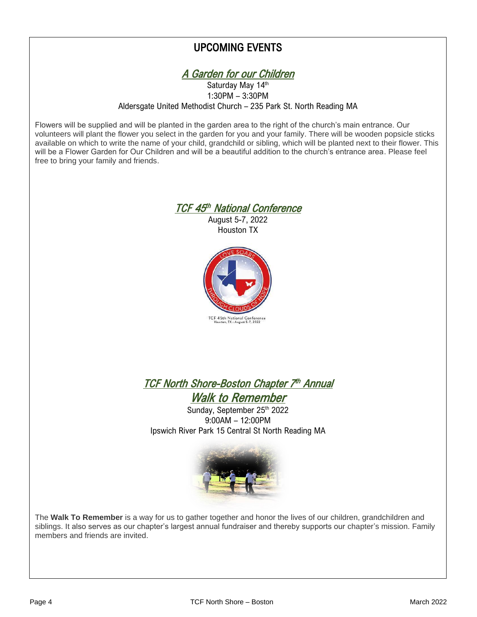## UPCOMING EVENTS



 Aldersgate United Methodist Church – 235 Park St. North Reading MA Saturday May 14th 1:30PM – 3:30PM

 Flowers will be supplied and will be planted in the garden area to the right of the church's main entrance. Our volunteers will plant the flower you select in the garden for you and your family. There will be wooden popsicle sticks<br>available on which to write the name of your child, grandchild or sibling, which will be planted next will be a Flower Garden for Our Children and will be a beautiful addition to the church's entrance area. Please feel<br>free to bring your family and friends volunteers will plant the flower you select in the garden for you and your family. There will be wooden popsicle sticks free to bring your family and friends.



August 5-7, 2022 Houston TX



 TCF North Shore-Boston Chapter 7 th Annual Walk to Remember

 Ipswich River Park 15 Central St North Reading MA Sunday, September 25th 2022 9:00AM – 12:00PM



 The **Walk To Remember** is a way for us to gather together and honor the lives of our children, grandchildren and siblings. It also serves as our chapter's largest annual fundraiser and thereby supports our chapter's mission. Family<br>members and friends are invited. members and friends are invited.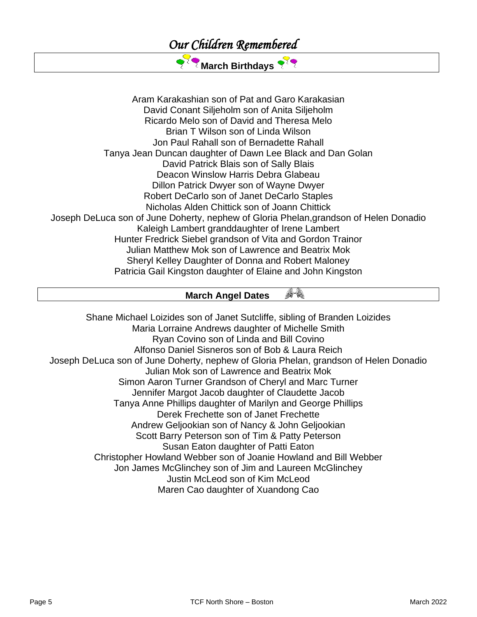

Aram Karakashian son of Pat and Garo Karakasian David Conant Siljeholm son of Anita Siljeholm Ricardo Melo son of David and Theresa Melo Brian T Wilson son of Linda Wilson Jon Paul Rahall son of Bernadette Rahall Tanya Jean Duncan daughter of Dawn Lee Black and Dan Golan David Patrick Blais son of Sally Blais Deacon Winslow Harris Debra Glabeau Dillon Patrick Dwyer son of Wayne Dwyer Robert DeCarlo son of Janet DeCarlo Staples Nicholas Alden Chittick son of Joann Chittick Joseph DeLuca son of June Doherty, nephew of Gloria Phelan,grandson of Helen Donadio Kaleigh Lambert granddaughter of Irene Lambert Hunter Fredrick Siebel grandson of Vita and Gordon Trainor Julian Matthew Mok son of Lawrence and Beatrix Mok Sheryl Kelley Daughter of Donna and Robert Maloney Patricia Gail Kingston daughter of Elaine and John Kingston

#### 67.  **March Angel Dates**

Shane Michael Loizides son of Janet Sutcliffe, sibling of Branden Loizides Maria Lorraine Andrews daughter of Michelle Smith Ryan Covino son of Linda and Bill Covino Alfonso Daniel Sisneros son of Bob & Laura Reich Joseph DeLuca son of June Doherty, nephew of Gloria Phelan, grandson of Helen Donadio Julian Mok son of Lawrence and Beatrix Mok Simon Aaron Turner Grandson of Cheryl and Marc Turner Jennifer Margot Jacob daughter of Claudette Jacob Tanya Anne Phillips daughter of Marilyn and George Phillips Derek Frechette son of Janet Frechette Andrew Geljookian son of Nancy & John Geljookian Scott Barry Peterson son of Tim & Patty Peterson Susan Eaton daughter of Patti Eaton Christopher Howland Webber son of Joanie Howland and Bill Webber Jon James McGlinchey son of Jim and Laureen McGlinchey Justin McLeod son of Kim McLeod Maren Cao daughter of Xuandong Cao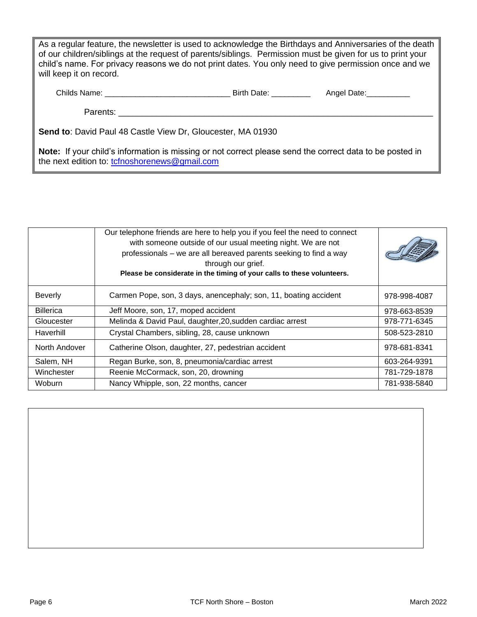As a regular feature, the newsletter is used to acknowledge the Birthdays and Anniversaries of the death of our children/siblings at the request of parents/siblings. Permission must be given for us to print your child's name. For privacy reasons we do not print dates. You only need to give permission once and we will keep it on record.

Childs Name: \_\_\_\_\_\_\_\_\_\_\_\_\_\_\_\_\_\_\_\_\_\_\_\_\_\_\_\_\_ Birth Date: \_\_\_\_\_\_\_\_\_ Angel Date:\_\_\_\_\_\_\_\_\_\_

Parents:

**Send to**: David Paul 48 Castle View Dr, Gloucester, MA 01930

**Note:** If your child's information is missing or not correct please send the correct data to be posted in the next edition to: [tcfnoshorenews@gmail.com](mailto:tcfnoshorenews@gmail.com)

|                  | Our telephone friends are here to help you if you feel the need to connect<br>with someone outside of our usual meeting night. We are not<br>professionals – we are all bereaved parents seeking to find a way<br>through our grief.<br>Please be considerate in the timing of your calls to these volunteers. |              |
|------------------|----------------------------------------------------------------------------------------------------------------------------------------------------------------------------------------------------------------------------------------------------------------------------------------------------------------|--------------|
| <b>Beverly</b>   | Carmen Pope, son, 3 days, anencephaly; son, 11, boating accident                                                                                                                                                                                                                                               | 978-998-4087 |
| <b>Billerica</b> | Jeff Moore, son, 17, moped accident                                                                                                                                                                                                                                                                            | 978-663-8539 |
| Gloucester       | Melinda & David Paul, daughter, 20, sudden cardiac arrest                                                                                                                                                                                                                                                      | 978-771-6345 |
| Haverhill        | Crystal Chambers, sibling, 28, cause unknown                                                                                                                                                                                                                                                                   | 508-523-2810 |
| North Andover    | Catherine Olson, daughter, 27, pedestrian accident                                                                                                                                                                                                                                                             | 978-681-8341 |
| Salem, NH        | Regan Burke, son, 8, pneumonia/cardiac arrest                                                                                                                                                                                                                                                                  | 603-264-9391 |
| Winchester       | Reenie McCormack, son, 20, drowning                                                                                                                                                                                                                                                                            | 781-729-1878 |
| Woburn           | Nancy Whipple, son, 22 months, cancer                                                                                                                                                                                                                                                                          | 781-938-5840 |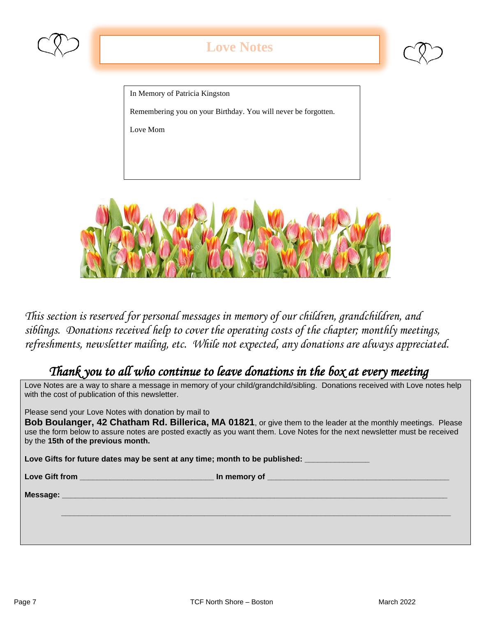

## **Love Notes**

In Memory of Patricia Kingston

Remembering you on your Birthday. You will never be forgotten.

Love Mom



*This section is reserved for personal messages in memory of our children, grandchildren, and siblings. Donations received help to cover the operating costs of the chapter; monthly meetings, refreshments, newsletter mailing, etc. While not expected, any donations are always appreciated.*

## *Thank you to all who continue to leave donations in the box at every meeting*

Love Notes are a way to share a message in memory of your child/grandchild/sibling. Donations received with Love notes help with the cost of publication of this newsletter.

Please send your Love Notes with donation by mail to

**Bob Boulanger, 42 Chatham Rd. Billerica, MA 01821**, or give them to the leader at the monthly meetings. Please use the form below to assure notes are posted exactly as you want them. Love Notes for the next newsletter must be received by the **15th of the previous month.** 

Love Gifts for future dates may be sent at any time; month to be published: \_\_\_\_\_\_\_\_

**Love Gift from \_\_\_\_\_\_\_\_\_\_\_\_\_\_\_\_\_\_\_\_\_\_\_\_\_\_\_\_\_\_\_ In memory of \_\_\_\_\_\_\_\_\_\_\_\_\_\_\_\_\_\_\_\_\_\_\_\_\_\_\_\_\_\_\_\_\_\_\_\_\_\_\_\_\_\_**

 **\_\_\_\_\_\_\_\_\_\_\_\_\_\_\_\_\_\_\_\_\_\_\_\_\_\_\_\_\_\_\_\_\_\_\_\_\_\_\_\_\_\_\_\_\_\_\_\_\_\_\_\_\_\_\_\_\_\_\_\_\_\_\_\_\_\_\_\_\_\_\_\_\_\_\_\_\_\_\_\_\_\_\_\_\_\_\_\_\_\_**

**Message: \_\_\_\_\_\_\_\_\_\_\_\_\_\_\_\_\_\_\_\_\_\_\_\_\_\_\_\_\_\_\_\_\_\_\_\_\_\_\_\_\_\_\_\_\_\_\_\_\_\_\_\_\_\_\_\_\_\_\_\_\_\_\_\_\_\_\_\_\_\_\_\_\_\_\_\_\_\_\_\_\_\_\_\_\_\_\_\_\_**